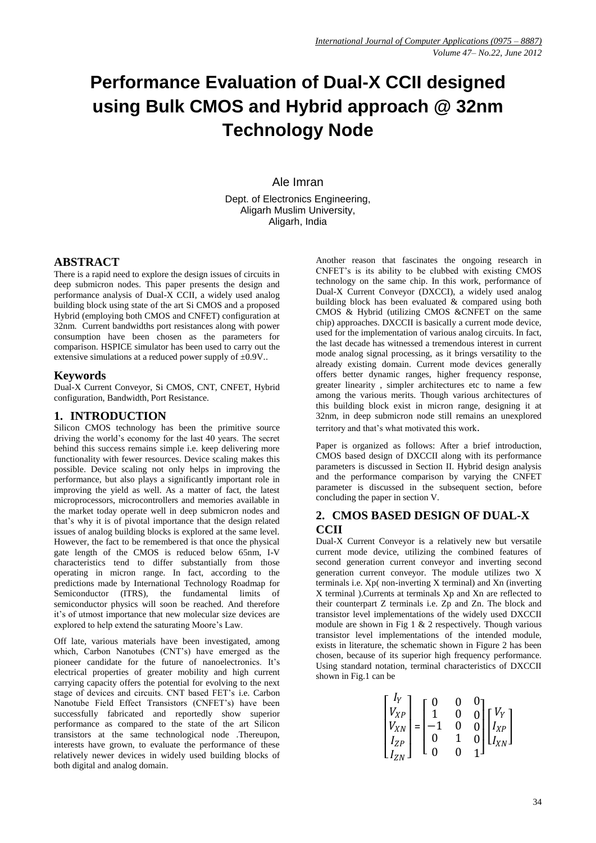# **Performance Evaluation of Dual-X CCII designed using Bulk CMOS and Hybrid approach @ 32nm Technology Node**

Ale Imran

Dept. of Electronics Engineering, Aligarh Muslim University, Aligarh, India

# **ABSTRACT**

There is a rapid need to explore the design issues of circuits in deep submicron nodes. This paper presents the design and performance analysis of Dual-X CCII, a widely used analog building block using state of the art Si CMOS and a proposed Hybrid (employing both CMOS and CNFET) configuration at 32nm. Current bandwidths port resistances along with power consumption have been chosen as the parameters for comparison. HSPICE simulator has been used to carry out the extensive simulations at a reduced power supply of  $\pm 0.9V$ .

#### **Keywords**

Dual-X Current Conveyor, Si CMOS, CNT, CNFET, Hybrid configuration, Bandwidth, Port Resistance.

### **1. INTRODUCTION**

Silicon CMOS technology has been the primitive source driving the world"s economy for the last 40 years. The secret behind this success remains simple i.e. keep delivering more functionality with fewer resources. Device scaling makes this possible. Device scaling not only helps in improving the performance, but also plays a significantly important role in improving the yield as well. As a matter of fact, the latest microprocessors, microcontrollers and memories available in the market today operate well in deep submicron nodes and that"s why it is of pivotal importance that the design related issues of analog building blocks is explored at the same level. However, the fact to be remembered is that once the physical gate length of the CMOS is reduced below 65nm, I-V characteristics tend to differ substantially from those operating in micron range. In fact, according to the predictions made by International Technology Roadmap for Semiconductor (ITRS), the fundamental limits of semiconductor physics will soon be reached. And therefore it"s of utmost importance that new molecular size devices are explored to help extend the saturating Moore"s Law.

Off late, various materials have been investigated, among which, Carbon Nanotubes (CNT"s) have emerged as the pioneer candidate for the future of nanoelectronics. It's electrical properties of greater mobility and high current carrying capacity offers the potential for evolving to the next stage of devices and circuits. CNT based FET"s i.e. Carbon Nanotube Field Effect Transistors (CNFET"s) have been successfully fabricated and reportedly show superior performance as compared to the state of the art Silicon transistors at the same technological node .Thereupon, interests have grown, to evaluate the performance of these relatively newer devices in widely used building blocks of both digital and analog domain.

Another reason that fascinates the ongoing research in CNFET"s is its ability to be clubbed with existing CMOS technology on the same chip. In this work, performance of Dual-X Current Conveyor (DXCCI), a widely used analog building block has been evaluated & compared using both CMOS & Hybrid (utilizing CMOS &CNFET on the same chip) approaches. DXCCII is basically a current mode device, used for the implementation of various analog circuits. In fact, the last decade has witnessed a tremendous interest in current mode analog signal processing, as it brings versatility to the already existing domain. Current mode devices generally offers better dynamic ranges, higher frequency response, greater linearity , simpler architectures etc to name a few among the various merits. Though various architectures of this building block exist in micron range, designing it at 32nm, in deep submicron node still remains an unexplored territory and that"s what motivated this work.

Paper is organized as follows: After a brief introduction, CMOS based design of DXCCII along with its performance parameters is discussed in Section II. Hybrid design analysis and the performance comparison by varying the CNFET parameter is discussed in the subsequent section, before concluding the paper in section V.

# **2. CMOS BASED DESIGN OF DUAL-X CCII**

Dual-X Current Conveyor is a relatively new but versatile current mode device, utilizing the combined features of second generation current conveyor and inverting second generation current conveyor. The module utilizes two X terminals i.e. Xp( non-inverting X terminal) and Xn (inverting X terminal ).Currents at terminals Xp and Xn are reflected to their counterpart Z terminals i.e. Zp and Zn. The block and transistor level implementations of the widely used DXCCII module are shown in Fig 1  $\&$  2 respectively. Though various transistor level implementations of the intended module, exists in literature, the schematic shown in Figure 2 has been chosen, because of its superior high frequency performance. Using standard notation, terminal characteristics of DXCCII shown in Fig.1 can be

$$
\begin{bmatrix}I_Y\\V_{XP}\\V_{XN}\\I_{ZP}\\I_{ZN}\end{bmatrix}=\begin{bmatrix}0&0&0\\1&0&0\\-1&0&0\\0&1&0\\0&0&1\end{bmatrix}\begin{bmatrix}V_Y\\I_{XP}\\I_{XN}\end{bmatrix}
$$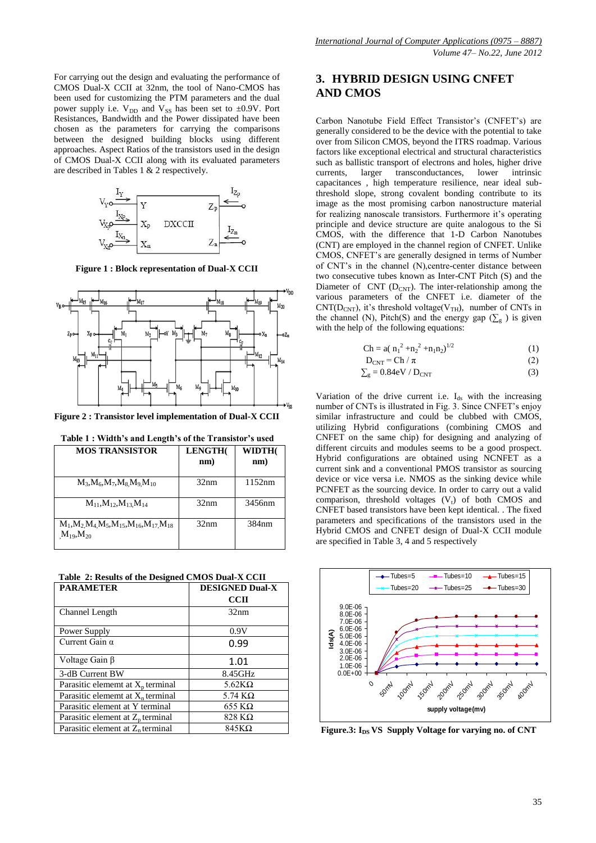For carrying out the design and evaluating the performance of CMOS Dual-X CCII at 32nm, the tool of Nano-CMOS has been used for customizing the PTM parameters and the dual power supply i.e.  $V_{DD}$  and  $V_{SS}$  has been set to  $\pm 0.9V$ . Port Resistances, Bandwidth and the Power dissipated have been chosen as the parameters for carrying the comparisons between the designed building blocks using different approaches. Aspect Ratios of the transistors used in the design of CMOS Dual-X CCII along with its evaluated parameters are described in Tables 1 & 2 respectively.



**Figure 1 : Block representation of Dual-X CCII**



**Figure 2 : Transistor level implementation of Dual-X CCII**

| <b>MOS TRANSISTOR</b>                                                       | LENGTH(<br>nm) | WIDTH(<br>nm) |
|-----------------------------------------------------------------------------|----------------|---------------|
| $M_3, M_6, M_7, M_8 M_9 M_{10}$                                             | 32nm           | 1152nm        |
| $M_{11}$ , $M_{12}$ , $M_{13}$ , $M_{14}$                                   | 32nm           | 3456nm        |
| $M_1, M_2, M_4, M_5, M_{15}, M_{16}, M_{17}, M_{18}$<br>$M_{19}$ , $M_{20}$ | 32nm           | 384nm         |

 **Table 1 : Width's and Length's of the Transistor's used**

 **Table 2: Results of the Designed CMOS Dual-X CCII**

| <b>PARAMETER</b>                    | <b>DESIGNED Dual-X</b> |
|-------------------------------------|------------------------|
|                                     | CCII                   |
| Channel Length                      | 32nm                   |
| Power Supply                        | 0.9V                   |
| Current Gain $\alpha$               | 0.99                   |
| Voltage Gain β                      | 1.01                   |
| 3-dB Current BW                     | 8.45GHz                |
| Parasitic element at $X_p$ terminal | 5.62 $K\Omega$         |
| Parasitic element at $X_n$ terminal | 5.74 $K\Omega$         |
| Parasitic element at Y terminal     | $655$ KQ               |
| Parasitic element at $Z_p$ terminal | 828 KΩ                 |
| Parasitic element at $Z_n$ terminal | $845K\Omega$           |

# **3. HYBRID DESIGN USING CNFET AND CMOS**

Carbon Nanotube Field Effect Transistor's (CNFET's) are generally considered to be the device with the potential to take over from Silicon CMOS, beyond the ITRS roadmap. Various factors like exceptional electrical and structural characteristics such as ballistic transport of electrons and holes, higher drive currents, larger transconductances, lower intrinsic capacitances , high temperature resilience, near ideal subthreshold slope, strong covalent bonding contribute to its image as the most promising carbon nanostructure material for realizing nanoscale transistors. Furthermore it's operating principle and device structure are quite analogous to the Si CMOS, with the difference that 1-D Carbon Nanotubes (CNT) are employed in the channel region of CNFET. Unlike CMOS, CNFET"s are generally designed in terms of Number of CNT"s in the channel (N),centre-center distance between two consecutive tubes known as Inter-CNT Pitch (S) and the Diameter of  $CNT (D_{CNT})$ . The inter-relationship among the various parameters of the CNFET i.e. diameter of the  $CNT(D_{CNT})$ , it's threshold voltage(V<sub>TH</sub>), number of CNTs in the channel (N), Pitch(S) and the energy gap ( $\Sigma_{g}$ ) is given with the help of the following equations:

$$
Ch = a(n_1^2 + n_2^2 + n_1 n_2)^{1/2}
$$
 (1)

$$
D_{\text{CNT}} = \text{Ch} / \pi \tag{2}
$$

$$
\Sigma_{\rm g} = 0.84 \, \text{eV} / D_{\rm CNT} \tag{3}
$$

Variation of the drive current i.e.  $I_{ds}$  with the increasing number of CNTs is illustrated in Fig. 3. Since CNFET's enjoy similar infrastructure and could be clubbed with CMOS, utilizing Hybrid configurations (combining CMOS and CNFET on the same chip) for designing and analyzing of different circuits and modules seems to be a good prospect. Hybrid configurations are obtained using NCNFET as a current sink and a conventional PMOS transistor as sourcing device or vice versa i.e. NMOS as the sinking device while PCNFET as the sourcing device. In order to carry out a valid comparison, threshold voltages  $(V_t)$  of both CMOS and CNFET based transistors have been kept identical. . The fixed parameters and specifications of the transistors used in the Hybrid CMOS and CNFET design of Dual-X CCII module are specified in Table 3, 4 and 5 respectively



**Figure.3: I**<sub>DS</sub> **VS** Supply Voltage for varying no. of CNT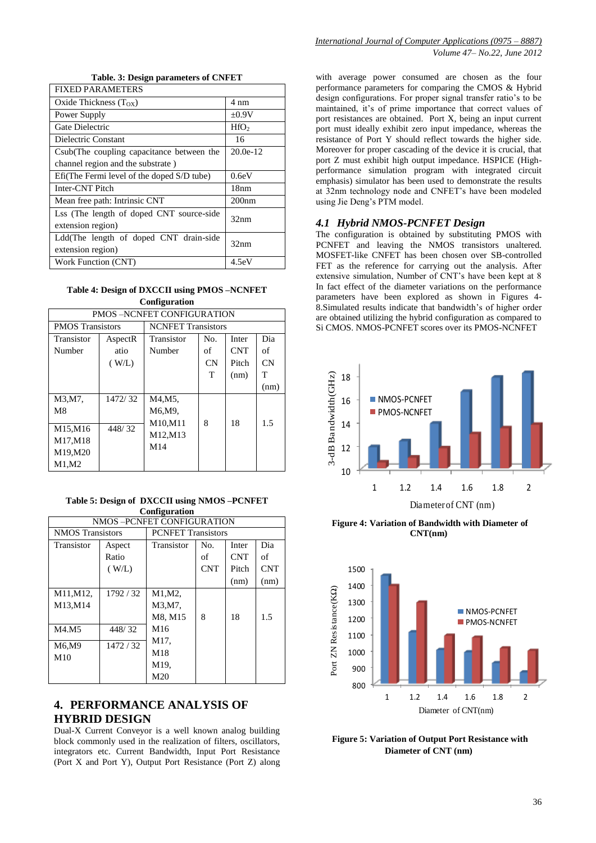|  |  |  | Table. 3: Design parameters of CNFET |  |  |
|--|--|--|--------------------------------------|--|--|
|--|--|--|--------------------------------------|--|--|

| FIXED PARAMETERS                           |                  |
|--------------------------------------------|------------------|
| Oxide Thickness $(T_{OX})$                 | 4 nm             |
| Power Supply                               | $\pm 0.9V$       |
| Gate Dielectric                            | HfO <sub>2</sub> |
| Dielectric Constant                        | 16               |
| Csub(The coupling capacitance between the  | $20.0e-12$       |
| channel region and the substrate)          |                  |
| Efi(The Fermi level of the doped S/D tube) | 0.6eV            |
| Inter-CNT Pitch                            | 18nm             |
| Mean free path: Intrinsic CNT              | 200nm            |
| Lss (The length of doped CNT source-side   | 32nm             |
| extension region)                          |                  |
| Ldd(The length of doped CNT drain-side     | 32nm             |
| extension region)                          |                  |
| Work Function (CNT)                        | 4.5eV            |

**Table 4: Design of DXCCII using PMOS –NCNFET Configuration**

| <b>PMOS –NCNFET CONFIGURATION</b> |                         |                 |                           |            |           |  |
|-----------------------------------|-------------------------|-----------------|---------------------------|------------|-----------|--|
|                                   | <b>PMOS</b> Transistors |                 | <b>NCNFET Transistors</b> |            |           |  |
| Transistor                        | AspectR                 | Transistor      | No.                       | Inter      | Dia       |  |
| Number                            | atio                    | Number          | of                        | <b>CNT</b> | оf        |  |
|                                   | (W/L)                   |                 | CN                        | Pitch      | <b>CN</b> |  |
|                                   |                         |                 | T                         | (nm)       | т         |  |
|                                   |                         |                 |                           |            | (nm)      |  |
| M3,M7,                            | 1472/32                 | M4.M5.          |                           |            |           |  |
| M8                                |                         | M6.M9.          |                           |            |           |  |
|                                   |                         | M10,M11         | 8                         | 18         | 1.5       |  |
| M15,M16                           | 448/32                  | M12, M13        |                           |            |           |  |
| M17,M18                           |                         | M <sub>14</sub> |                           |            |           |  |
| M19,M20                           |                         |                 |                           |            |           |  |
| M1,M2                             |                         |                 |                           |            |           |  |

**Table 5: Design of DXCCII using NMOS –PCNFET Configuration**

| NMOS - PCNFET CONFIGURATION |         |                           |            |            |            |
|-----------------------------|---------|---------------------------|------------|------------|------------|
| <b>NMOS</b> Transistors     |         | <b>PCNFET Transistors</b> |            |            |            |
| Transistor                  | Aspect  | Transistor                | No.        | Inter      | Dia        |
|                             | Ratio   |                           | of         | <b>CNT</b> | of         |
|                             | (W/L)   |                           | <b>CNT</b> | Pitch      | <b>CNT</b> |
|                             |         |                           |            | (nm)       | (nm)       |
| M11, M12,                   | 1792/32 | M1, M2,                   |            |            |            |
| M13.M14                     |         | M3,M7,                    |            |            |            |
|                             |         | M8. M15                   | 8          | 18         | 1.5        |
| M4.M5                       | 448/32  | M <sub>16</sub>           |            |            |            |
| M6,M9                       | 1472/32 | M17,                      |            |            |            |
| M10                         |         | M18                       |            |            |            |
|                             |         | M19.                      |            |            |            |
|                             |         | M20                       |            |            |            |

# **4. PERFORMANCE ANALYSIS OF HYBRID DESIGN**

Dual-X Current Conveyor is a well known analog building block commonly used in the realization of filters, oscillators, integrators etc. Current Bandwidth, Input Port Resistance (Port X and Port Y), Output Port Resistance (Port Z) along

with average power consumed are chosen as the four performance parameters for comparing the CMOS & Hybrid design configurations. For proper signal transfer ratio"s to be maintained, it's of prime importance that correct values of port resistances are obtained. Port X, being an input current port must ideally exhibit zero input impedance, whereas the resistance of Port Y should reflect towards the higher side. Moreover for proper cascading of the device it is crucial, that port Z must exhibit high output impedance. HSPICE (Highperformance simulation program with integrated circuit emphasis) simulator has been used to demonstrate the results at 32nm technology node and CNFET"s have been modeled using Jie Deng"s PTM model.

#### *4.1 Hybrid NMOS-PCNFET Design*

The configuration is obtained by substituting PMOS with PCNFET and leaving the NMOS transistors unaltered. MOSFET-like CNFET has been chosen over SB-controlled FET as the reference for carrying out the analysis. After extensive simulation, Number of CNT"s have been kept at 8 In fact effect of the diameter variations on the performance parameters have been explored as shown in Figures 4- 8.Simulated results indicate that bandwidth's of higher order are obtained utilizing the hybrid configuration as compared to Si CMOS. NMOS-PCNFET scores over its PMOS-NCNFET



**Figure 4: Variation of Bandwidth with Diameter of CNT(nm)**



**Figure 5: Variation of Output Port Resistance with Diameter of CNT (nm)**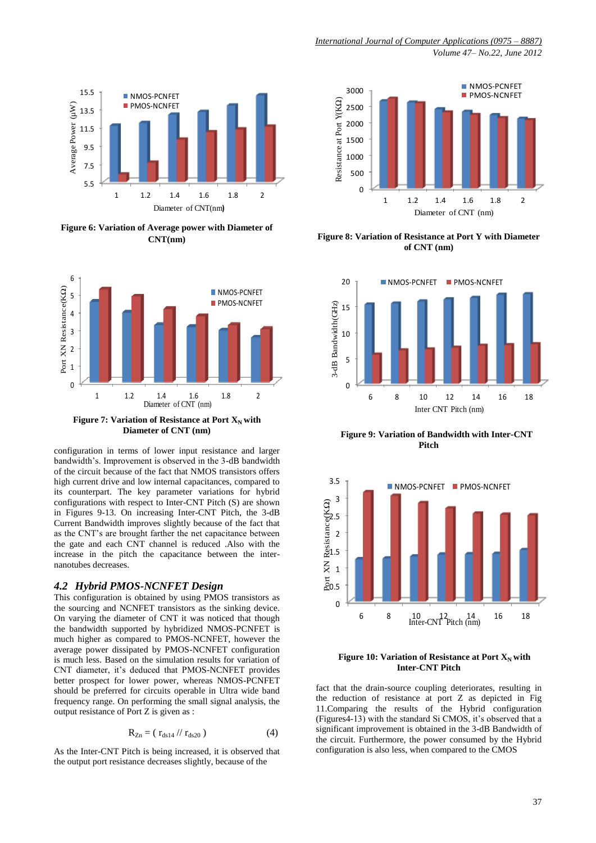

**Figure 6: Variation of Average power with Diameter of CNT(nm)**



**Figure 7: Variation of Resistance at Port**  $X_N$  **with Diameter of CNT (nm)**

configuration in terms of lower input resistance and larger bandwidth"s. Improvement is observed in the 3-dB bandwidth of the circuit because of the fact that NMOS transistors offers high current drive and low internal capacitances, compared to its counterpart. The key parameter variations for hybrid configurations with respect to Inter-CNT Pitch (S) are shown in Figures 9-13. On increasing Inter-CNT Pitch, the 3-dB Current Bandwidth improves slightly because of the fact that as the CNT"s are brought farther the net capacitance between the gate and each CNT channel is reduced .Also with the increase in the pitch the capacitance between the internanotubes decreases.

#### *4.2 Hybrid PMOS-NCNFET Design*

This configuration is obtained by using PMOS transistors as the sourcing and NCNFET transistors as the sinking device. On varying the diameter of CNT it was noticed that though the bandwidth supported by hybridized NMOS-PCNFET is much higher as compared to PMOS-NCNFET, however the average power dissipated by PMOS-NCNFET configuration is much less. Based on the simulation results for variation of CNT diameter, it's deduced that PMOS-NCNFET provides better prospect for lower power, whereas NMOS-PCNFET should be preferred for circuits operable in Ultra wide band frequency range. On performing the small signal analysis, the output resistance of Port Z is given as :

$$
R_{Zn} = (r_{ds14} / r_{ds20})
$$
 (4)

As the Inter-CNT Pitch is being increased, it is observed that the output port resistance decreases slightly, because of the



**Figure 8: Variation of Resistance at Port Y with Diameter of CNT (nm)**



 **Figure 9: Variation of Bandwidth with Inter-CNT Pitch**



#### **Figure 10: Variation of Resistance at Port**  $X_N$  **with Inter-CNT Pitch**

fact that the drain-source coupling deteriorates, resulting in the reduction of resistance at port Z as depicted in Fig 11.Comparing the results of the Hybrid configuration (Figures4-13) with the standard Si CMOS, it's observed that a significant improvement is obtained in the 3-dB Bandwidth of the circuit. Furthermore, the power consumed by the Hybrid configuration is also less, when compared to the CMOS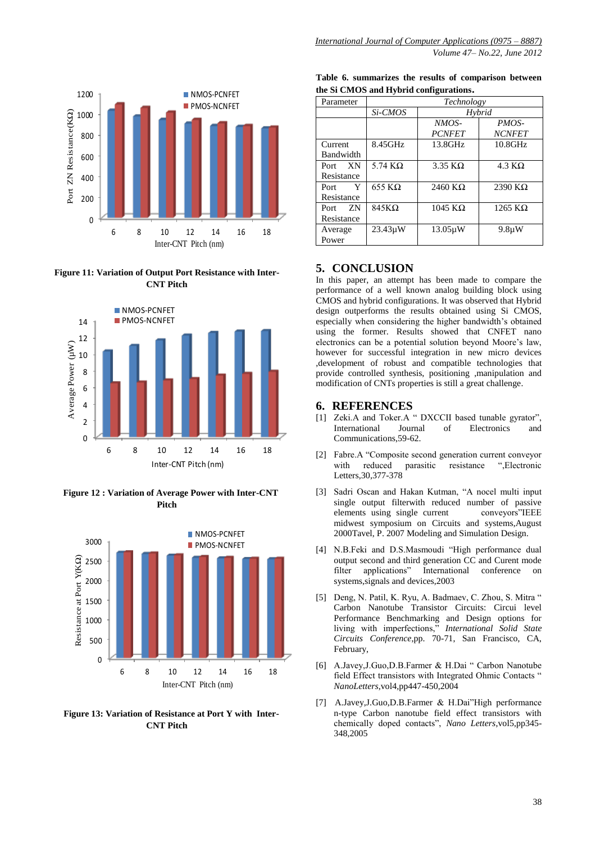

**Figure 11: Variation of Output Port Resistance with Inter-CNT Pitch**



 **Figure 12 : Variation of Average Power with Inter-CNT Pitch**



 **Figure 13: Variation of Resistance at Port Y with Inter-CNT Pitch**

| the Si CMOS and Hybrid configurations. |  |  |  | Table 6. summarizes the results of comparison between |  |
|----------------------------------------|--|--|--|-------------------------------------------------------|--|
|                                        |  |  |  |                                                       |  |

| Parameter   | Technology     |               |                        |  |  |
|-------------|----------------|---------------|------------------------|--|--|
|             | Si-CMOS        |               | Hybrid                 |  |  |
|             |                | $NMOS-$       | PMOS-                  |  |  |
|             |                | <b>PCNFET</b> | <b>NCNFET</b>          |  |  |
| Current     | 8.45GHz        | $13.8$ GHz    | $10.8$ GHz             |  |  |
| Bandwidth   |                |               |                        |  |  |
| XN<br>Port  | 5.74 $K\Omega$ | $3.35$ KQ     | $4.3 \text{ K}\Omega$  |  |  |
| Resistance  |                |               |                        |  |  |
| Y<br>Port   | $655$ KQ       | $2460$ KQ     | $2390 \text{ K}\Omega$ |  |  |
| Resistance  |                |               |                        |  |  |
| ZN.<br>Port | $845K\Omega$   | $1045$ KQ     | 1265 K $\Omega$        |  |  |
| Resistance  |                |               |                        |  |  |
| Average     | $23.43 \mu W$  | $13.05\mu W$  | $9.8\mu W$             |  |  |
| Power       |                |               |                        |  |  |

#### **5. CONCLUSION**

In this paper, an attempt has been made to compare the performance of a well known analog building block using CMOS and hybrid configurations. It was observed that Hybrid design outperforms the results obtained using Si CMOS, especially when considering the higher bandwidth's obtained using the former. Results showed that CNFET nano electronics can be a potential solution beyond Moore"s law, however for successful integration in new micro devices ,development of robust and compatible technologies that provide controlled synthesis, positioning ,manipulation and modification of CNTs properties is still a great challenge.

#### **6. REFERENCES**

- [1] Zeki.A and Toker.A " DXCCII based tunable gyrator", International Journal of Electronics and Communications,59-62.
- [2] Fabre.A "Composite second generation current conveyor with reduced parasitic resistance ",Electronic Letters,30,377-378
- [3] Sadri Oscan and Hakan Kutman, "A nocel multi input single output filterwith reduced number of passive elements using single current conveyors"IEEE midwest symposium on Circuits and systems,August 2000Tavel, P. 2007 Modeling and Simulation Design.
- [4] N.B.Feki and D.S.Masmoudi "High performance dual output second and third generation CC and Curent mode filter applications" International conference on systems,signals and devices,2003
- [5] Deng, N. Patil, K. Ryu, A. Badmaev, C. Zhou, S. Mitra " Carbon Nanotube Transistor Circuits: Circui level Performance Benchmarking and Design options for living with imperfections," *International Solid State Circuits Conference*,pp. 70-71, San Francisco, CA, February,
- [6] A.Javey,J.Guo,D.B.Farmer & H.Dai " Carbon Nanotube field Effect transistors with Integrated Ohmic Contacts " *NanoLetters*,vol4,pp447-450,2004
- [7] A.Javey,J.Guo,D.B.Farmer & H.Dai"High performance n-type Carbon nanotube field effect transistors with chemically doped contacts", *Nano Letters*,vol5,pp345- 348,2005